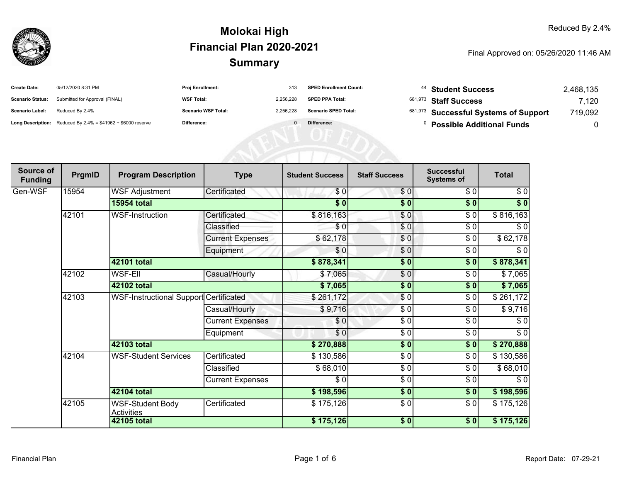

| <b>Create Date:</b>     | 05/12/2020 8:31 PM                                                     | Proj Enrollment:           | 313       | <b>SPED Enrollment Count:</b> | <sup>44</sup> Student Success         | 2,468,135 |
|-------------------------|------------------------------------------------------------------------|----------------------------|-----------|-------------------------------|---------------------------------------|-----------|
| <b>Scenario Status:</b> | Submitted for Approval (FINAL)                                         | <b>WSF Total:</b>          | 2.256.228 | <b>SPED PPA Total:</b>        | <sup>681,973</sup> Staff Success      | 7.120     |
| <b>Scenario Label:</b>  | Reduced By 2.4%                                                        | <b>Scenario WSF Total:</b> | 2.256.228 | <b>Scenario SPED Total:</b>   | 681,973 Successful Systems of Support | 719,092   |
|                         | <b>Long Description:</b> Reduced By $2.4\%$ = \$41962 + \$6000 reserve | Difference:                |           | Difference:                   | <b>Possible Additional Funds</b>      |           |

| Source of<br><b>Funding</b> | PrgmID | <b>Program Description</b>                    | <b>Type</b>             | <b>Student Success</b> | <b>Staff Success</b> | <b>Successful</b><br><b>Systems of</b> | <b>Total</b> |           |
|-----------------------------|--------|-----------------------------------------------|-------------------------|------------------------|----------------------|----------------------------------------|--------------|-----------|
| Gen-WSF                     | 15954  | <b>WSF Adjustment</b>                         | Certificated            | \$0                    | \$0                  | \$0                                    | \$0          |           |
|                             |        | <b>15954 total</b>                            |                         | $\sqrt{5}$             | \$0                  | \$0                                    | $\sqrt[6]{}$ |           |
|                             | 42101  | <b>WSF-Instruction</b>                        | Certificated            | \$816,163              | $\frac{1}{\sqrt{2}}$ | \$0                                    | \$816,163    |           |
|                             |        |                                               | Classified              | \$0                    | \$0                  | \$0                                    | \$0          |           |
|                             |        |                                               | <b>Current Expenses</b> | \$62,178               | \$0                  | \$0                                    | \$62,178     |           |
|                             |        |                                               | Equipment               | \$0                    | $\frac{6}{6}$        | \$0                                    | $\sqrt{6}$   |           |
|                             |        | <b>42101 total</b>                            |                         | \$878,341              | $\overline{\bullet}$ | \$0                                    | \$878,341    |           |
|                             | 42102  | WSF-Ell                                       | Casual/Hourly           | \$7,065                | \$0                  | \$0                                    | \$7,065      |           |
|                             |        | 42102 total                                   |                         | \$7,065                | $\frac{1}{6}$        | \$0                                    | \$7,065      |           |
|                             | 42103  | <b>WSF-Instructional Support Certificated</b> |                         | \$261,172              | $\frac{1}{\sqrt{2}}$ | \$0                                    | \$261,172    |           |
|                             |        |                                               | Casual/Hourly           | \$9,716                | \$0                  | \$0                                    | \$9,716      |           |
|                             |        |                                               | <b>Current Expenses</b> | \$0                    | \$0                  | \$0                                    | \$0          |           |
|                             |        |                                               | Equipment               | \$0                    | $\frac{1}{\epsilon}$ | \$0                                    | $\sqrt{6}$   |           |
|                             |        | 42103 total                                   |                         | \$270,888              | \$0                  | \$0                                    | \$270,888    |           |
|                             | 42104  | WSF-Student Services                          |                         | Certificated           | \$130,586            | \$0                                    | \$0          | \$130,586 |
|                             |        |                                               |                         | Classified             | \$68,010             | $\overline{\frac{1}{2}}$               | \$0          | \$68,010  |
|                             |        |                                               | <b>Current Expenses</b> | \$0                    | \$0                  | \$0                                    | \$0          |           |
|                             |        | 42104 total                                   |                         | \$198,596              | \$0                  | \$0                                    | \$198,596    |           |
|                             | 42105  | <b>WSF-Student Body</b><br><b>Activities</b>  | Certificated            | \$175,126              | $\frac{3}{6}$        | \$0                                    | \$175,126    |           |
|                             |        | 42105 total                                   |                         | \$175,126              | $\sqrt{5}$ 0         | \$0                                    | \$175,126    |           |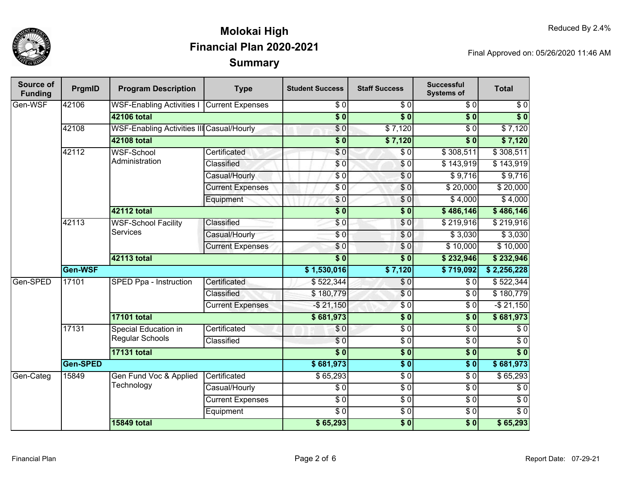

| Source of<br><b>Funding</b> | PrgmID   | <b>Program Description</b>                       | <b>Type</b>             | <b>Student Success</b> | <b>Staff Success</b> | <b>Successful</b><br><b>Systems of</b> | <b>Total</b>     |
|-----------------------------|----------|--------------------------------------------------|-------------------------|------------------------|----------------------|----------------------------------------|------------------|
| Gen-WSF                     | 42106    | <b>WSF-Enabling Activities I</b>                 | <b>Current Expenses</b> | $\overline{\$0}$       | $\overline{\$0}$     | $\overline{30}$                        | $\sqrt{6}$       |
|                             |          | <b>42106 total</b>                               |                         | $\overline{\$0}$       | $\overline{\$0}$     | $\overline{\$0}$                       | $\overline{\$0}$ |
|                             | 42108    | <b>WSF-Enabling Activities III Casual/Hourly</b> |                         | $\overline{\$0}$       | \$7,120              | $\overline{30}$                        | \$7,120          |
|                             |          | 42108 total                                      |                         | $\overline{\$0}$       | \$7,120              | $\overline{\bullet}$ 0                 | \$7,120          |
|                             | 42112    | <b>WSF-School</b>                                | Certificated            | $\overline{\$0}$       | $\sqrt{50}$          | \$308,511                              | \$308,511        |
|                             |          | Administration                                   | Classified              | \$0                    | $\frac{6}{6}$        | \$143,919                              | \$143,919        |
|                             |          |                                                  | Casual/Hourly           | $\sqrt{6}$             | \$0                  | \$9,716                                | \$9,716          |
|                             |          |                                                  | <b>Current Expenses</b> | \$0                    | \$0                  | \$20,000                               | \$20,000         |
|                             |          |                                                  | Equipment               | \$0                    | \$0                  | \$4,000                                | \$4,000          |
|                             |          | 42112 total                                      |                         | $\overline{\$0}$       | $\overline{\$0}$     | \$486,146                              | \$486,146        |
|                             | 42113    | <b>WSF-School Facility</b>                       | Classified              | \$0                    | \$0                  | \$219,916                              | \$219,916        |
|                             |          | <b>Services</b>                                  | Casual/Hourly           | $\overline{\$0}$       | \$0                  | $\sqrt{$3,030}$                        | \$3,030          |
|                             |          |                                                  | <b>Current Expenses</b> | $\sqrt{6}$             | \$0                  | \$10,000                               | \$10,000         |
|                             |          | 42113 total                                      |                         | $\overline{\$0}$       | $\overline{\$0}$     | \$232,946                              | \$232,946        |
|                             | Gen-WSF  |                                                  | \$1,530,016             | \$7,120                | \$719,092            | \$2,256,228                            |                  |
| Gen-SPED                    | 17101    | SPED Ppa - Instruction                           | Certificated            | \$522,344              | $\sqrt{6}$           | \$0                                    | \$522,344        |
|                             |          |                                                  | Classified              | \$180,779              | $\overline{S}0$      | $\overline{\$0}$                       | \$180,779        |
|                             |          |                                                  | <b>Current Expenses</b> | $-$21,150$             | $\sqrt{6}$           | $\overline{\$0}$                       | $-$21,150$       |
|                             |          | <b>17101 total</b>                               |                         | \$681,973              | $\overline{\$0}$     | $\overline{\bullet}$ 0                 | \$681,973        |
|                             | 17131    | Special Education in                             | Certificated            | \$0                    | $\sqrt{6}$           | $\overline{\$0}$                       | $\overline{\$0}$ |
|                             |          | <b>Regular Schools</b>                           | Classified              | $\overline{S}0$        | $\overline{S}0$      | $\overline{30}$                        | $\overline{\$0}$ |
|                             |          | <b>17131 total</b>                               |                         | $\overline{\bullet}$   | $\overline{\$0}$     | $\overline{\$0}$                       | $\overline{\$0}$ |
|                             | Gen-SPED |                                                  |                         | \$681,973              | $\overline{\$0}$     | $\overline{\$0}$                       | \$681,973        |
| Gen-Categ                   | 15849    | Gen Fund Voc & Applied<br>Technology             | Certificated            | \$65,293               | $\sqrt{50}$          | $\overline{\$0}$                       | \$65,293         |
|                             |          |                                                  | Casual/Hourly           | $\overline{\$0}$       | $\overline{50}$      | $\overline{S}0$                        | $\sqrt{6}$       |
|                             |          |                                                  | <b>Current Expenses</b> | $\overline{\$0}$       | $\overline{50}$      | $\overline{\$0}$                       | $\sqrt{6}$       |
|                             |          |                                                  | Equipment               | $\overline{\$0}$       | $\overline{60}$      | $\overline{\$0}$                       | $\overline{\$0}$ |
|                             |          | <b>15849 total</b>                               |                         | \$65,293               | $\overline{\$0}$     | $\overline{\$0}$                       | \$65,293         |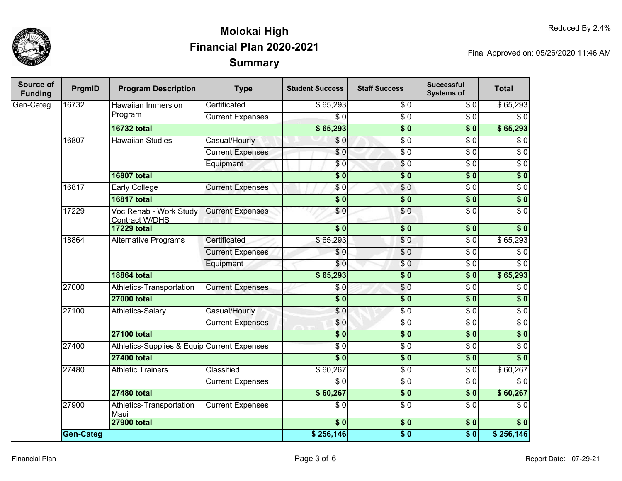

| Source of<br><b>Funding</b> | PrgmID                            | <b>Program Description</b>                      | <b>Type</b>             | <b>Student Success</b> | <b>Staff Success</b>                                        | <b>Successful</b><br><b>Systems of</b>                        | <b>Total</b>     |
|-----------------------------|-----------------------------------|-------------------------------------------------|-------------------------|------------------------|-------------------------------------------------------------|---------------------------------------------------------------|------------------|
| Gen-Categ                   | 16732                             | Hawaiian Immersion                              | Certificated            | \$65,293               | \$0                                                         | \$0                                                           | \$65,293         |
|                             |                                   | Program                                         | <b>Current Expenses</b> | $\overline{50}$        | $\overline{\$0}$                                            | $\sqrt{6}$                                                    | $\overline{60}$  |
|                             |                                   | <b>16732 total</b>                              |                         | \$65,293               | $\overline{\$0}$                                            | $\overline{\$0}$                                              | \$65,293         |
|                             | 16807                             | <b>Hawaiian Studies</b>                         | Casual/Hourly           | \$0                    | $\overline{S}0$                                             | $\overline{\$0}$                                              | $\overline{\$0}$ |
|                             |                                   |                                                 | <b>Current Expenses</b> | $\overline{\$0}$       | $\overline{\$0}$                                            | $\overline{\$0}$                                              | $\sqrt{6}$       |
|                             |                                   |                                                 | Equipment               | \$0                    | $\sqrt{6}$                                                  | $\sqrt{6}$                                                    | $\sqrt{6}$       |
|                             |                                   | <b>16807 total</b>                              |                         | $\overline{\$0}$       | $\overline{\$0}$                                            | $\overline{\$}0$                                              | $\overline{\$0}$ |
|                             | 16817                             | <b>Early College</b>                            | <b>Current Expenses</b> | \$0                    | \$0                                                         | $\overline{\$0}$                                              | $\overline{60}$  |
|                             |                                   | <b>16817 total</b>                              |                         | $\overline{\$0}$       | $\overline{\$0}$                                            | $\overline{\$0}$                                              | $\overline{\$0}$ |
|                             | 17229                             | Voc Rehab - Work Study<br><b>Contract W/DHS</b> | <b>Current Expenses</b> | \$0                    | \$0                                                         | $\overline{\$0}$                                              | $\overline{\$0}$ |
|                             |                                   | <b>17229 total</b>                              |                         | $\overline{\$0}$       | $\overline{\$0}$                                            | $\overline{\$0}$                                              | $\overline{\$0}$ |
|                             | 18864                             | <b>Alternative Programs</b>                     | Certificated            | \$65,293               | $\overline{\$0}$                                            | $\overline{\$0}$                                              | \$65,293         |
|                             |                                   |                                                 | <b>Current Expenses</b> | \$0                    | $\overline{\$0}$                                            | $\overline{\$0}$                                              | $\overline{\$0}$ |
|                             |                                   |                                                 | Equipment               | \$0                    | \$0                                                         | $\overline{\$0}$                                              | $\overline{\$0}$ |
|                             |                                   | <b>18864 total</b>                              |                         | \$65,293               | $\overline{\$0}$                                            | $\overline{\textbf{50}}$                                      | \$65,293         |
|                             | 27000                             | Athletics-Transportation                        | <b>Current Expenses</b> | \$0                    | $\overline{\$0}$                                            | $\overline{\$0}$                                              | $\overline{\$0}$ |
|                             |                                   | <b>27000 total</b>                              |                         | $\overline{\$0}$       | $\overline{\$0}$                                            | $\overline{\$}0$                                              | $\overline{\$0}$ |
|                             | 27100                             | Athletics-Salary                                | Casual/Hourly           | $\overline{\$0}$       | $\overline{\$0}$                                            | $\overline{\$0}$                                              | $\overline{\$0}$ |
|                             |                                   |                                                 | <b>Current Expenses</b> | \$0                    | $\overline{\$0}$                                            | $\overline{\$0}$                                              | $\overline{\$0}$ |
|                             |                                   | <b>27100 total</b>                              |                         | $\overline{\$0}$       | $\overline{\$0}$                                            | $\overline{\$0}$                                              | $\overline{\$0}$ |
|                             | 27400                             | Athletics-Supplies & Equip Current Expenses     |                         | $\overline{\$0}$       | $\overline{\$0}$                                            | $\overline{\$0}$                                              | $\overline{\$0}$ |
|                             |                                   | <b>27400 total</b>                              |                         | $\overline{\$0}$       | $\overline{\$0}$                                            | $\overline{\$0}$                                              | $\overline{\$0}$ |
|                             | 27480<br><b>Athletic Trainers</b> | Classified                                      | \$60,267                | $\overline{\$0}$       | $\overline{\$0}$                                            | \$60,267                                                      |                  |
|                             |                                   |                                                 | <b>Current Expenses</b> | $\overline{\$0}$       | $\overline{\$0}$                                            | $\overline{\$0}$                                              | $\overline{\$0}$ |
|                             |                                   | <b>27480 total</b>                              |                         | \$60,267               | $\overline{\$0}$                                            | $\overline{\$0}$                                              | \$60,267         |
|                             | 27900                             | Athletics-Transportation<br>Maui                | <b>Current Expenses</b> | $\overline{\$0}$       | $\overline{\$0}$                                            | $\overline{\$0}$                                              | $\overline{\$0}$ |
|                             |                                   | <b>27900 total</b>                              |                         | $\overline{\$0}$       | \$0                                                         | \$0                                                           | \$0              |
|                             | <b>Gen-Categ</b>                  |                                                 |                         | \$256,146              | $\overline{\boldsymbol{\mathsf{S}}\boldsymbol{\mathsf{0}}}$ | $\overline{\boldsymbol{\mathsf{S}}\ \boldsymbol{\mathsf{0}}}$ | \$256,146        |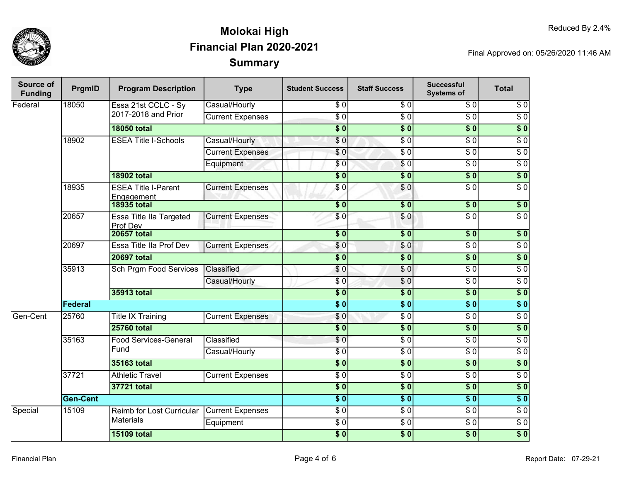

| Source of<br><b>Funding</b> | PrgmID          | <b>Program Description</b>               | <b>Type</b>             | <b>Student Success</b> | <b>Staff Success</b> | <b>Successful</b><br><b>Systems of</b> | <b>Total</b>     |
|-----------------------------|-----------------|------------------------------------------|-------------------------|------------------------|----------------------|----------------------------------------|------------------|
| Federal                     | 18050           | Essa 21st CCLC - Sy                      | Casual/Hourly           | \$0                    | $\overline{\$0}$     | $\overline{\$0}$                       | $\overline{\$0}$ |
|                             |                 | 2017-2018 and Prior                      | <b>Current Expenses</b> | $\overline{50}$        | $\overline{50}$      | $\overline{\$0}$                       | $\overline{\$0}$ |
|                             |                 | <b>18050 total</b>                       |                         | $\overline{\$0}$       | $\overline{\$0}$     | $\overline{\$0}$                       | $\overline{\$0}$ |
|                             | 18902           | <b>ESEA Title I-Schools</b>              | Casual/Hourly           | $\overline{\$0}$       | $\overline{S}0$      | $\overline{\$0}$                       | $\overline{S}0$  |
|                             |                 |                                          | <b>Current Expenses</b> | \$0                    | $\overline{50}$      | $\overline{\$0}$                       | $\overline{60}$  |
|                             |                 |                                          | Equipment               | \$0                    | $\overline{S}0$      | $\overline{30}$                        | $\overline{60}$  |
|                             |                 | <b>18902 total</b>                       |                         | $\overline{\$0}$       | $\overline{\$0}$     | $\overline{\$0}$                       | $\overline{\$0}$ |
|                             | 18935           | <b>ESEA Title I-Parent</b><br>Engagement | <b>Current Expenses</b> | \$0                    | $\overline{\$0}$     | $\overline{30}$                        | $\overline{\$0}$ |
|                             |                 | <b>18935 total</b>                       |                         | s <sub>0</sub>         | $\overline{\$0}$     | $\overline{\textbf{50}}$               | $\overline{\$0}$ |
|                             | 20657           | Essa Title IIa Targeted<br>Prof Dev      | <b>Current Expenses</b> | \$0                    | \$0                  | $\overline{\$0}$                       | $\overline{\$0}$ |
|                             |                 | <b>20657 total</b>                       |                         | $\overline{\$0}$       | $\overline{\$0}$     | $\overline{\$0}$                       | $\overline{\$0}$ |
|                             | 20697           | Essa Title IIa Prof Dev                  | <b>Current Expenses</b> | \$0                    | \$0                  | $\overline{\$0}$                       | $\overline{\$0}$ |
|                             |                 | <b>20697 total</b>                       |                         | $\overline{\$0}$       | $\overline{\$0}$     | $\overline{\$0}$                       | $\overline{\$0}$ |
|                             | 35913           | <b>Sch Prgm Food Services</b>            | Classified              | \$0                    | \$0                  | $\overline{\$0}$                       | $\overline{60}$  |
|                             |                 |                                          | Casual/Hourly           | $\overline{30}$        | $\overline{60}$      | $\sqrt{6}$                             | $\sqrt{6}$       |
|                             |                 | 35913 total                              |                         | $\overline{\$0}$       | $\overline{\$0}$     | $\overline{\$0}$                       | \$0              |
|                             | Federal         |                                          |                         | $\overline{\$0}$       | $\overline{\$}0$     | $\overline{\$0}$                       | $\overline{\$0}$ |
| Gen-Cent                    | 25760           | <b>Title IX Training</b>                 | <b>Current Expenses</b> | \$0                    | $\sqrt{6}$           | $\overline{\$0}$                       | $\overline{\$0}$ |
|                             |                 | <b>25760 total</b>                       |                         | $\sqrt{6}$             | $\sqrt{6}$           | $\overline{\$0}$                       | $\overline{\$0}$ |
|                             | 35163           | <b>Food Services-General</b>             | Classified              | $\overline{\$0}$       | $\overline{S}0$      | $\overline{\$0}$                       | $\sqrt{6}$       |
|                             | Fund            |                                          | Casual/Hourly           | $\overline{\$0}$       | $\overline{S}0$      | $\overline{\$0}$                       | $\sqrt{6}$       |
|                             |                 | 35163 total                              |                         | $\overline{\$0}$       | $\overline{\$0}$     | $\overline{\$0}$                       | $\overline{\$0}$ |
|                             | 37721           | <b>Athletic Travel</b>                   | <b>Current Expenses</b> | $\sqrt{6}$             | $\sqrt{6}$           | $\sqrt{6}$                             | $\sqrt{6}$       |
|                             |                 | 37721 total                              |                         | $\overline{\$0}$       | \$0                  | $\overline{\$0}$                       | \$0              |
|                             | <b>Gen-Cent</b> |                                          |                         |                        | $\overline{\$}0$     | $\overline{\$0}$                       | $\overline{\$0}$ |
| Special                     | 15109           | Reimb for Lost Curricular                | <b>Current Expenses</b> | $\overline{\$0}$       | $\overline{50}$      | $\overline{\$0}$                       | $\sqrt{6}$       |
|                             |                 | <b>Materials</b>                         | Equipment               | $\sqrt{6}$             | $\overline{S}0$      | $\overline{\$0}$                       | $\sqrt{6}$       |
|                             |                 | <b>15109 total</b>                       |                         | $\overline{\$0}$       | $\overline{\$0}$     | $\overline{\$0}$                       | $\overline{\$0}$ |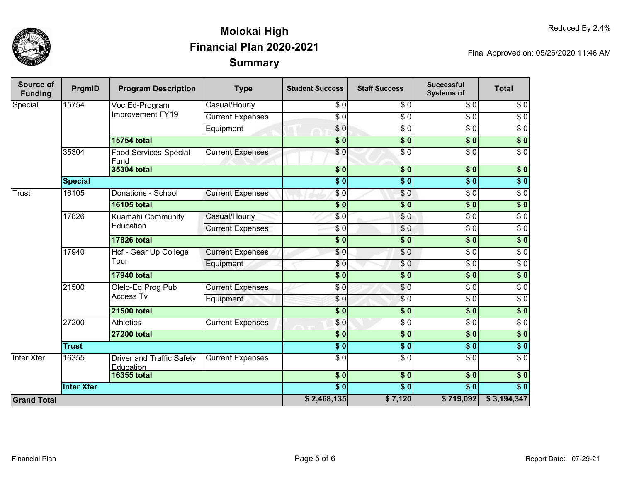

| Source of<br><b>Funding</b> | PrgmID            | <b>Program Description</b>                    | <b>Type</b>             | <b>Student Success</b> | <b>Staff Success</b>     | <b>Successful</b><br><b>Systems of</b> | <b>Total</b>     |
|-----------------------------|-------------------|-----------------------------------------------|-------------------------|------------------------|--------------------------|----------------------------------------|------------------|
| Special                     | 15754             | Voc Ed-Program                                | Casual/Hourly           | \$0                    | $\overline{\$0}$         | $\overline{30}$                        | $\sqrt{6}$       |
|                             |                   | Improvement FY19                              | <b>Current Expenses</b> | $\overline{\$0}$       | $\overline{30}$          | $\overline{\$0}$                       | $\overline{50}$  |
|                             |                   |                                               | Equipment               | $\overline{60}$        | $\overline{\$0}$         | $\overline{\$0}$                       | $\overline{30}$  |
|                             |                   | <b>15754 total</b>                            |                         | $\overline{\$0}$       | $\overline{\$0}$         | $\overline{\$0}$                       | $\overline{\$0}$ |
|                             | 35304             | <b>Food Services-Special</b><br>Fund          | <b>Current Expenses</b> | $\sqrt{6}$             | $\overline{S}0$          | $\overline{\$0}$                       | $\overline{\$0}$ |
|                             |                   | <b>35304 total</b>                            |                         | $\overline{\$}0$       | $\overline{\$0}$         | $\overline{\$0}$                       | $\sqrt{6}$       |
|                             | <b>Special</b>    |                                               |                         | $\overline{\$0}$       | $\overline{\textbf{50}}$ | $\overline{\$0}$                       | $\sqrt{6}$       |
| <b>Trust</b>                | 16105             | Donations - School                            | <b>Current Expenses</b> | \$0                    | $\sqrt{6}$               | $\overline{\$0}$                       | $\overline{\$0}$ |
|                             |                   | <b>16105 total</b>                            |                         | $\overline{\$0}$       | $\overline{\$0}$         | $\sqrt{6}$                             | $\overline{\$0}$ |
|                             | 17826             | Kuamahi Community<br>Education                | Casual/Hourly           | $\overline{\$0}$       | $\overline{\$0}$         | $\overline{\$0}$                       | $\overline{30}$  |
|                             |                   |                                               | <b>Current Expenses</b> | $\overline{\$0}$       | \$0                      | $\overline{\$0}$                       | $\overline{\$0}$ |
|                             |                   | <b>17826 total</b>                            |                         | $\overline{\$0}$       | $\overline{\$0}$         | $\overline{\$0}$                       | $\overline{\$0}$ |
|                             | 17940             | Hcf - Gear Up College<br>Tour                 | <b>Current Expenses</b> | \$0                    | $\overline{\$0}$         | $\overline{\$0}$                       | $\overline{\$0}$ |
|                             |                   |                                               | Equipment               | \$0                    | \$0                      | \$0                                    | $\overline{\$0}$ |
|                             |                   | <b>17940 total</b>                            |                         | $\overline{\$0}$       | $\overline{\$0}$         | $\overline{\$0}$                       | $\overline{\$0}$ |
|                             | 21500             | Olelo-Ed Prog Pub                             | <b>Current Expenses</b> | $\overline{\$0}$       | \$0                      | $\overline{\$0}$                       | $\overline{\$0}$ |
|                             |                   |                                               | <b>Access Tv</b>        | Equipment              | \$0                      | $\overline{\$0}$                       | $\overline{\$0}$ |
|                             |                   | <b>21500 total</b>                            |                         | \$0                    | \$0                      | $\overline{\$}0$                       | \$0              |
|                             | 27200             | <b>Athletics</b>                              | <b>Current Expenses</b> | \$0                    | $\overline{\$0}$         | $\overline{\$0}$                       | $\overline{\$0}$ |
|                             |                   | <b>27200 total</b>                            |                         | $\overline{\$0}$       | $\overline{\$0}$         | $\overline{\$0}$                       | $\sqrt{6}$       |
|                             | <b>Trust</b>      |                                               |                         | $\overline{\$0}$       | $\overline{\$0}$         | $\overline{\$0}$                       | $\overline{\$0}$ |
| <b>Inter Xfer</b>           | 16355             | <b>Driver and Traffic Safety</b><br>Education | <b>Current Expenses</b> | $\overline{30}$        | $\overline{\$0}$         | $\overline{\$0}$                       | $\overline{30}$  |
|                             |                   | <b>16355 total</b>                            |                         | $\overline{\$0}$       | $\overline{\$0}$         | $\overline{\$0}$                       | $\sqrt{6}$       |
|                             | <b>Inter Xfer</b> |                                               |                         | $\overline{\$0}$       | $\overline{\$0}$         | $\overline{\$0}$                       | $\overline{\$0}$ |
| <b>Grand Total</b>          |                   |                                               |                         | \$2,468,135            | \$7,120                  | \$719,092                              | \$3,194,347      |